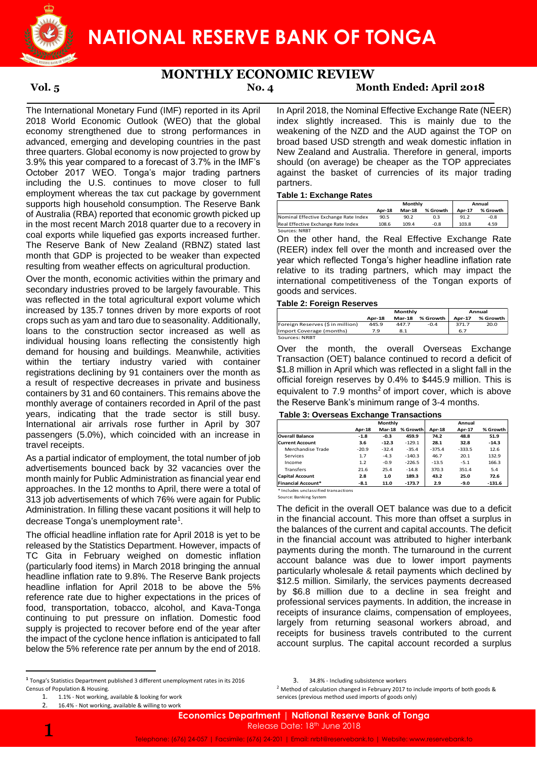

## **MONTHLY ECONOMIC REVIEW**

# **Vol. 5 No. 4 Month Ended: April 2018**

The International Monetary Fund (IMF) reported in its April 2018 World Economic Outlook (WEO) that the global economy strengthened due to strong performances in advanced, emerging and developing countries in the past three quarters. Global economy is now projected to grow by 3.9% this year compared to a forecast of 3.7% in the IMF's October 2017 WEO. Tonga's major trading partners including the U.S. continues to move closer to full employment whereas the tax cut package by government supports high household consumption. The Reserve Bank of Australia (RBA) reported that economic growth picked up in the most recent March 2018 quarter due to a recovery in coal exports while liquefied gas exports increased further. The Reserve Bank of New Zealand (RBNZ) stated last month that GDP is projected to be weaker than expected resulting from weather effects on agricultural production.

Over the month, economic activities within the primary and secondary industries proved to be largely favourable. This was reflected in the total agricultural export volume which increased by 135.7 tonnes driven by more exports of root crops such as yam and taro due to seasonality. Additionally, loans to the construction sector increased as well as individual housing loans reflecting the consistently high demand for housing and buildings. Meanwhile, activities within the tertiary industry varied with container registrations declining by 91 containers over the month as a result of respective decreases in private and business containers by 31 and 60 containers. This remains above the monthly average of containers recorded in April of the past years, indicating that the trade sector is still busy. International air arrivals rose further in April by 307 passengers (5.0%), which coincided with an increase in travel receipts.

As a partial indicator of employment, the total number of job advertisements bounced back by 32 vacancies over the month mainly for Public Administration as financial year end approaches. In the 12 months to April, there were a total of 313 job advertisements of which 76% were again for Public Administration. In filling these vacant positions it will help to decrease Tonga's unemployment rate<sup>1</sup>.

The official headline inflation rate for April 2018 is yet to be released by the Statistics Department. However, impacts of TC Gita in February weighed on domestic inflation (particularly food items) in March 2018 bringing the annual headline inflation rate to 9.8%. The Reserve Bank projects headline inflation for April 2018 to be above the 5% reference rate due to higher expectations in the prices of food, transportation, tobacco, alcohol, and Kava-Tonga continuing to put pressure on inflation. Domestic food supply is projected to recover before end of the year after the impact of the cyclone hence inflation is anticipated to fall below the 5% reference rate per annum by the end of 2018.

1

 $\ddot{\phantom{a}}$ 

3. 34.8% - Including subsistence workers

<sup>2</sup> Method of calculation changed in February 2017 to include imports of both goods &

In April 2018, the Nominal Effective Exchange Rate (NEER) index slightly increased. This is mainly due to the weakening of the NZD and the AUD against the TOP on broad based USD strength and weak domestic inflation in New Zealand and Australia. Therefore in general, imports should (on average) be cheaper as the TOP appreciates against the basket of currencies of its major trading partners.

### **Table 1: Exchange Rates**

|                                       |        | Monthly       | Annual   |        |          |
|---------------------------------------|--------|---------------|----------|--------|----------|
|                                       | Apr-18 | <b>Mar-18</b> | % Growth | Apr-17 | % Growth |
| Nominal Effective Exchange Rate Index | 90.5   | 90.2          | 0.3      | 91.2   | $-0.8$   |
| Real Effective Exchange Rate Index    | 108.6  | 109.4         | $-0.8$   | 103.8  | 4.59     |

On the other hand, the Real Effective Exchange Rate (REER) index fell over the month and increased over the year which reflected Tonga's higher headline inflation rate relative to its trading partners, which may impact the international competitiveness of the Tongan exports of goods and services.

### **Table 2: Foreign Reserves**

|                                  | Monthly       |               |          | Annual |          |  |
|----------------------------------|---------------|---------------|----------|--------|----------|--|
|                                  | <b>Apr-18</b> | <b>Mar-18</b> | % Growth | Apr-17 | % Growth |  |
| Foreign Reserves (\$ in million) | 445.9         | 447.7         | $-0.4$   | 371.7  | 20.0     |  |
| Import Coverage (months)         | 7.9           | 8.1           |          | 6.7    |          |  |
| Sources: NRBT                    |               |               |          |        |          |  |

Over the month, the overall Overseas Exchange Transaction (OET) balance continued to record a deficit of \$1.8 million in April which was reflected in a slight fall in the official foreign reserves by 0.4% to \$445.9 million. This is equivalent to  $7.9$  months<sup>2</sup> of import cover, which is above the Reserve Bank's minimum range of 3-4 months.

## **Table 3: Overseas Exchange Transactions**

|                           | Monthly       |               |          | Annual   |               |          |  |
|---------------------------|---------------|---------------|----------|----------|---------------|----------|--|
|                           | <b>Apr-18</b> | <b>Mar-18</b> | % Growth | Apr-18   | <b>Apr-17</b> | % Growth |  |
| <b>Overall Balance</b>    | $-1.8$        | $-0.3$        | 459.9    | 74.2     | 48.8          | 51.9     |  |
| <b>Current Account</b>    | 3.6           | $-12.3$       | $-129.1$ | 28.1     | 32.8          | $-14.3$  |  |
| Merchandise Trade         | $-20.9$       | $-32.4$       | $-35.4$  | $-375.4$ | $-333.5$      | 12.6     |  |
| Services                  | 1.7           | $-4.3$        | $-140.3$ | 46.7     | 20.1          | 132.9    |  |
| Income                    | 1.2           | $-0.9$        | $-226.5$ | $-13.5$  | $-5.1$        | 166.3    |  |
| Transfers                 | 21.6          | 25.4          | $-14.8$  | 370.3    | 351.4         | 5.4      |  |
| <b>Capital Account</b>    | 2.8           | 1.0           | 189.3    | 43.2     | 25.0          | 72.6     |  |
| <b>Financial Account*</b> | $-8.1$        | 11.0          | $-173.7$ | 2.9      | $-9.0$        | $-131.6$ |  |

\* Includes unclassified transactions Source: Banking System

The deficit in the overall OET balance was due to a deficit in the financial account. This more than offset a surplus in the balances of the current and capital accounts. The deficit in the financial account was attributed to higher interbank payments during the month. The turnaround in the current account balance was due to lower import payments particularly wholesale & retail payments which declined by \$12.5 million. Similarly, the services payments decreased by \$6.8 million due to a decline in sea freight and professional services payments. In addition, the increase in receipts of insurance claims, compensation of employees, largely from returning seasonal workers abroad, and receipts for business travels contributed to the current account surplus. The capital account recorded a surplus services through the Reserve Bank Reservices (previous method used in the Continental and the Continental and the Reservices Continental and the Continental Contents on the Contents of Goods and Services.<br>
The other hand,

**<sup>1</sup>** Tonga's Statistics Department published 3 different unemployment rates in its 2016 Census of Population & Housing.

<sup>1.</sup> 1.1% - Not working, available & looking for work

<sup>2.</sup> 16.4% - Not working, available & willing to work